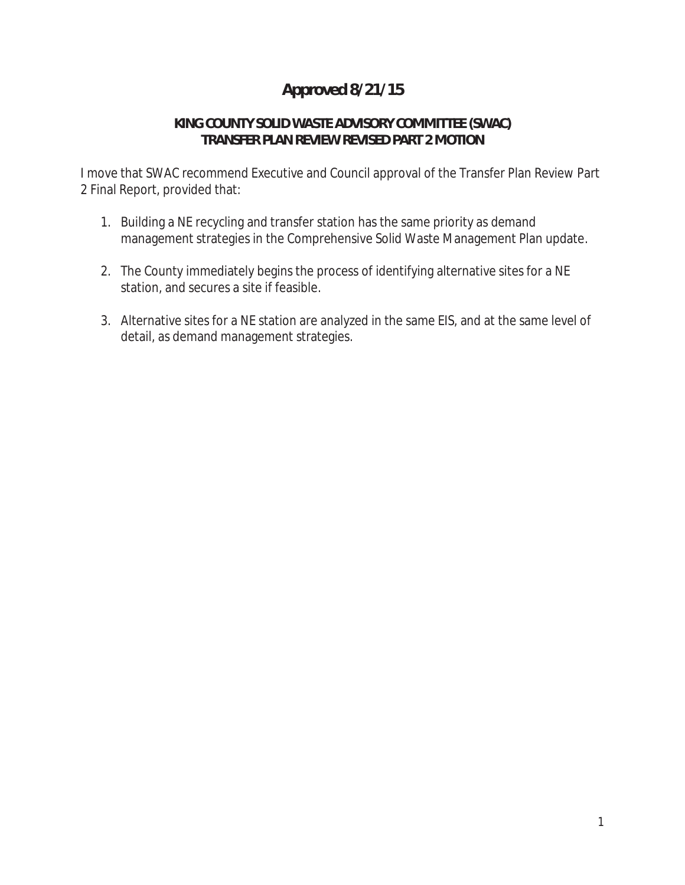# **Approved 8/21/15**

## **KING COUNTY SOLID WASTE ADVISORY COMMITTEE (SWAC) TRANSFER PLAN REVIEW REVISED PART 2 MOTION**

I move that SWAC recommend Executive and Council approval of the Transfer Plan Review Part 2 Final Report, provided that:

- 1. Building a NE recycling and transfer station has the same priority as demand management strategies in the Comprehensive Solid Waste Management Plan update.
- 2. The County immediately begins the process of identifying alternative sites for a NE station, and secures a site if feasible.
- 3. Alternative sites for a NE station are analyzed in the same EIS, and at the same level of detail, as demand management strategies.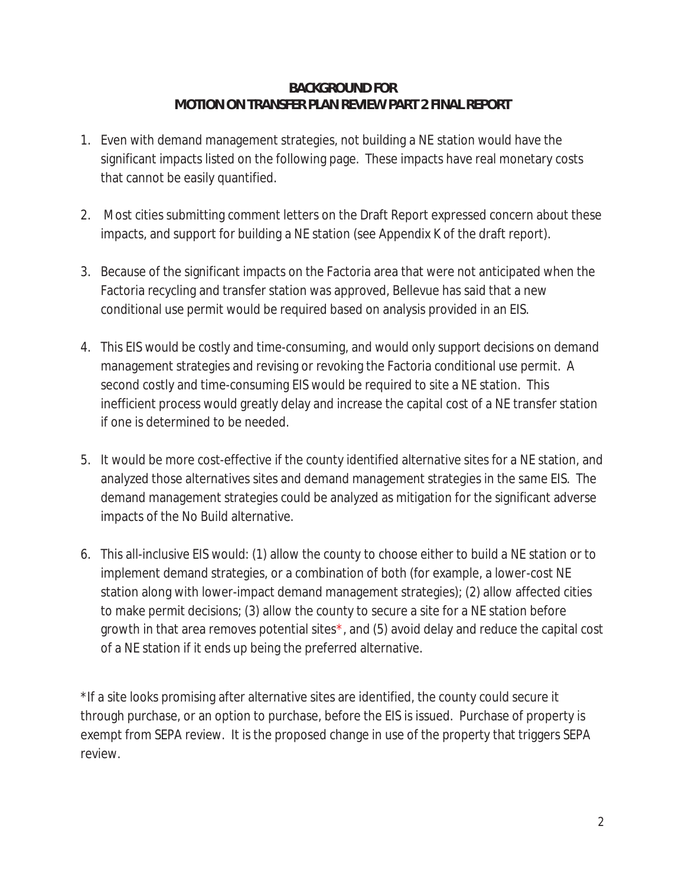#### **BACKGROUND FOR MOTION ON TRANSFER PLAN REVIEW PART 2 FINAL REPORT**

- 1. Even with demand management strategies, not building a NE station would have the significant impacts listed on the following page. These impacts have real monetary costs that cannot be easily quantified.
- 2. Most cities submitting comment letters on the Draft Report expressed concern about these impacts, and support for building a NE station (see Appendix K of the draft report).
- 3. Because of the significant impacts on the Factoria area that were not anticipated when the Factoria recycling and transfer station was approved, Bellevue has said that a new conditional use permit would be required based on analysis provided in an EIS.
- 4. This EIS would be costly and time-consuming, and would only support decisions on demand management strategies and revising or revoking the Factoria conditional use permit. A second costly and time-consuming EIS would be required to site a NE station. This inefficient process would greatly delay and increase the capital cost of a NE transfer station if one is determined to be needed.
- 5. It would be more cost-effective if the county identified alternative sites for a NE station, and analyzed those alternatives sites and demand management strategies in the same EIS. The demand management strategies could be analyzed as mitigation for the significant adverse impacts of the No Build alternative.
- 6. This all-inclusive EIS would: (1) allow the county to choose either to build a NE station or to implement demand strategies, or a combination of both (for example, a lower-cost NE station along with lower-impact demand management strategies); (2) allow affected cities to make permit decisions; (3) allow the county to secure a site for a NE station before growth in that area removes potential sites\*, and (5) avoid delay and reduce the capital cost of a NE station if it ends up being the preferred alternative.

\*If a site looks promising after alternative sites are identified, the county could secure it through purchase, or an option to purchase, before the EIS is issued. Purchase of property is exempt from SEPA review. It is the proposed change in use of the property that triggers SEPA review.